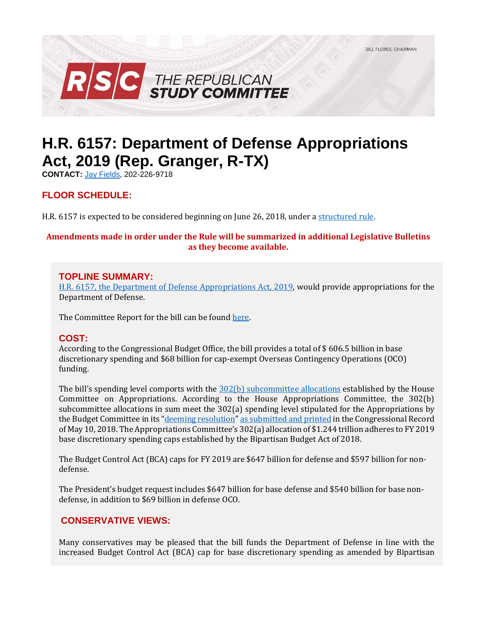

# **H.R. 6157: Department of Defense Appropriations Act, 2019 (Rep. Granger, R-TX)**

**CONTACT:** [Jay Fields,](mailto:jay.fields@mail.house.gov) 202-226-9718

## **FLOOR SCHEDULE:**

H.R. 6157 is expected to be considered beginning on June 26, 2018, under [a structured rule.](https://rules.house.gov/sites/republicans.rules.house.gov/files/Rule_HR2083HR6157.pdf)

#### **Amendments made in order under the Rule will be summarized in additional Legislative Bulletins as they become available.**

### **TOPLINE SUMMARY:**

[H.R. 6157, the Department of Defense Appropriations Act, 2019,](https://docs.house.gov/billsthisweek/20180625/BILLS-115HR__-RCP115-77.pdf) would provide appropriations for the Department of Defense.

The Committee Report for the bill can be foun[d here.](https://www.gpo.gov/fdsys/pkg/CRPT-115hrpt769/pdf/CRPT-115hrpt769.pdf)

## **COST:**

According to the Congressional Budget Office, the bill provides a total of \$ 606.5 billion in base discretionary spending and \$68 billion for cap-exempt Overseas Contingency Operations (OCO) funding.

The bill's spending level comports with the [302\(b\) subcommittee allocations](https://www.congress.gov/115/crpt/hrpt779/CRPT-115hrpt779.pdf) established by the House Committee on Appropriations. According to the House Appropriations Committee, the 302(b) subcommittee allocations in sum meet the 302(a) spending level stipulated for the Appropriations by the Budget Committee in its "[deeming resolution](https://fas.org/sgp/crs/misc/R44296.pdf)" [as submitted and printed](https://www.congress.gov/crec/2018/05/10/CREC-2018-05-10-pt1-PgH3926.pdf) in the Congressional Record of May 10, 2018. The Appropriations Committee's 302(a) allocation of \$1.244 trillion adheres to FY 2019 base discretionary spending caps established by the Bipartisan Budget Act of 2018.

The Budget Control Act (BCA) caps for FY 2019 are \$647 billion for defense and \$597 billion for nondefense.

The President's budget request includes \$647 billion for base defense and \$540 billion for base nondefense, in addition to \$69 billion in defense OCO.

## **CONSERVATIVE VIEWS:**

Many conservatives may be pleased that the bill funds the Department of Defense in line with the increased Budget Control Act (BCA) cap for base discretionary spending as amended by Bipartisan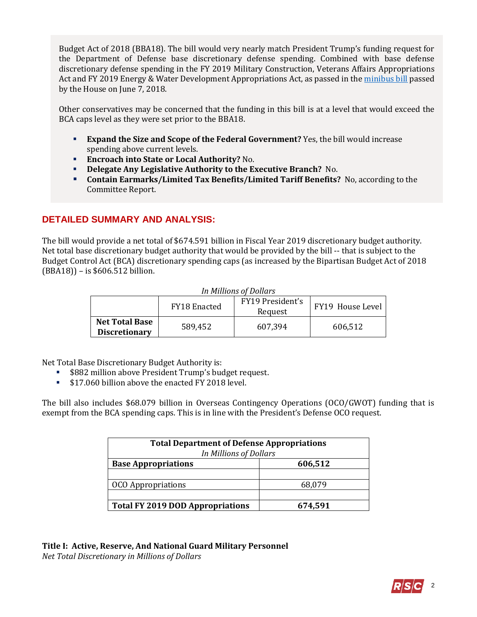Budget Act of 2018 (BBA18). The bill would very nearly match President Trump's funding request for the Department of Defense base discretionary defense spending. Combined with base defense discretionary defense spending in the FY 2019 Military Construction, Veterans Affairs Appropriations Act and FY 2019 Energy & Water Development Appropriations Act, as passed in th[e minibus bill](https://gallery.mailchimp.com/d4254037a343b683d142111e0/files/7623f7d3-ebe1-4b78-9723-45025e9193b0/LB_Minibus_EW_Leg_MilCon_FY19_FINAL.pdf) passed by the House on June 7, 2018.

Other conservatives may be concerned that the funding in this bill is at a level that would exceed the BCA caps level as they were set prior to the BBA18.

- **Expand the Size and Scope of the Federal Government?** Yes, the bill would increase spending above current levels.
- 
- **Encroach into State or Local Authority?** No.<br>**Delegate Any Legislative Authority to the Example Delegate Any Legislative Authority to the Executive Branch?** No.
- **Contain Earmarks/Limited Tax Benefits/Limited Tariff Benefits?** No, according to the Committee Report.

## **DETAILED SUMMARY AND ANALYSIS:**

The bill would provide a net total of \$674.591 billion in Fiscal Year 2019 discretionary budget authority. Net total base discretionary budget authority that would be provided by the bill -- that is subject to the Budget Control Act (BCA) discretionary spending caps (as increased by the Bipartisan Budget Act of 2018 (BBA18)) – is \$606.512 billion.

| In Millions of Dollars |
|------------------------|
|------------------------|

|                                               | <b>FY18 Enacted</b> | FY19 President's<br>Request | FY19 House Level |
|-----------------------------------------------|---------------------|-----------------------------|------------------|
| <b>Net Total Base</b><br><b>Discretionary</b> | 589,452             | 607,394                     | 606,512          |

Net Total Base Discretionary Budget Authority is:

- \$882 million above President Trump's budget request.
- **517.060 billion above the enacted FY 2018 level.**

The bill also includes \$68.079 billion in Overseas Contingency Operations (OCO/GWOT) funding that is exempt from the BCA spending caps. This is in line with the President's Defense OCO request.

| <b>Total Department of Defense Appropriations</b><br>In Millions of Dollars |         |  |  |  |
|-----------------------------------------------------------------------------|---------|--|--|--|
| <b>Base Appropriations</b>                                                  | 606,512 |  |  |  |
|                                                                             |         |  |  |  |
| <b>OCO</b> Appropriations                                                   | 68,079  |  |  |  |
|                                                                             |         |  |  |  |
| <b>Total FY 2019 DOD Appropriations</b>                                     | 674,591 |  |  |  |

**Title I: Active, Reserve, And National Guard Military Personnel** *Net Total Discretionary in Millions of Dollars*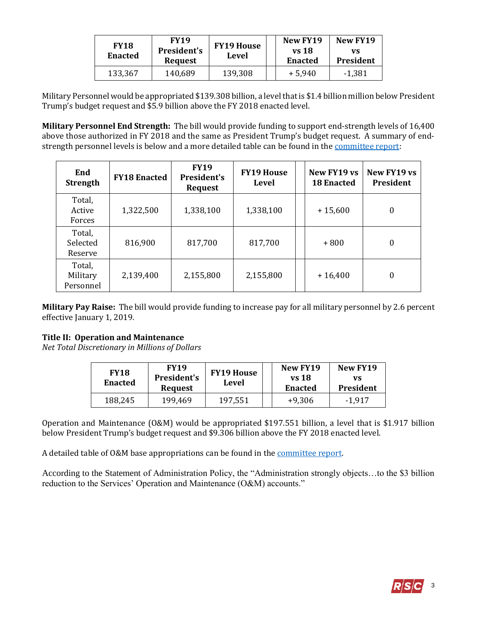| <b>FY18</b><br><b>Enacted</b> | <b>FY19</b><br>President's<br><b>Request</b> | <b>FY19 House</b><br>Level | New FY19<br>vs 18<br><b>Enacted</b> | New FY19<br>vs<br>President |
|-------------------------------|----------------------------------------------|----------------------------|-------------------------------------|-----------------------------|
| 133,367                       | 140,689                                      | 139,308                    | $+5,940$                            | $-1,381$                    |

Military Personnel would be appropriated \$139.308 billion, a level that is \$1.4 billion million below President Trump's budget request and \$5.9 billion above the FY 2018 enacted level.

**Military Personnel End Strength:** The bill would provide funding to support end-strength levels of 16,400 above those authorized in FY 2018 and the same as President Trump's budget request. A summary of endstrength personnel levels is below and a more detailed table can be found in the [committee report:](https://www.congress.gov/115/crpt/hrpt769/CRPT-115hrpt769.pdf#page=24)

| End<br><b>Strength</b>          | <b>FY18 Enacted</b> | <b>FY19</b><br><b>President's</b><br><b>Request</b> | <b>FY19 House</b><br><b>Level</b> | New FY19 vs<br><b>18 Enacted</b> | New FY19 vs<br><b>President</b> |
|---------------------------------|---------------------|-----------------------------------------------------|-----------------------------------|----------------------------------|---------------------------------|
| Total,<br>Active<br>Forces      | 1,322,500           | 1,338,100                                           | 1,338,100                         | $+15,600$                        | $\boldsymbol{0}$                |
| Total,<br>Selected<br>Reserve   | 816,900             | 817,700                                             | 817,700                           | $+800$                           | $\boldsymbol{0}$                |
| Total,<br>Military<br>Personnel | 2,139,400           | 2,155,800                                           | 2,155,800                         | $+16,400$                        | $\boldsymbol{0}$                |

**Military Pay Raise:** The bill would provide funding to increase pay for all military personnel by 2.6 percent effective January 1, 2019.

#### **Title II: Operation and Maintenance**

*Net Total Discretionary in Millions of Dollars*

| <b>FY18</b><br><b>Enacted</b> | <b>FY19</b><br>President's<br><b>Request</b> | <b>FY19 House</b><br>Level | New FY19<br>vs 18<br><b>Enacted</b> | New FY19<br>VS<br>President |
|-------------------------------|----------------------------------------------|----------------------------|-------------------------------------|-----------------------------|
| 188,245                       | 199,469                                      | 197,551                    | $+9,306$                            | $-1.917$                    |

Operation and Maintenance (O&M) would be appropriated \$197.551 billion, a level that is \$1.917 billion below President Trump's budget request and \$9.306 billion above the FY 2018 enacted level.

A detailed table of O&M base appropriations can be found in the [committee report.](https://www.gpo.gov/fdsys/pkg/CRPT-115hrpt769/pdf/CRPT-115hrpt769.pdf#page=52)

According to the Statement of Administration Policy, the "Administration strongly objects…to the \$3 billion reduction to the Services' Operation and Maintenance (O&M) accounts."

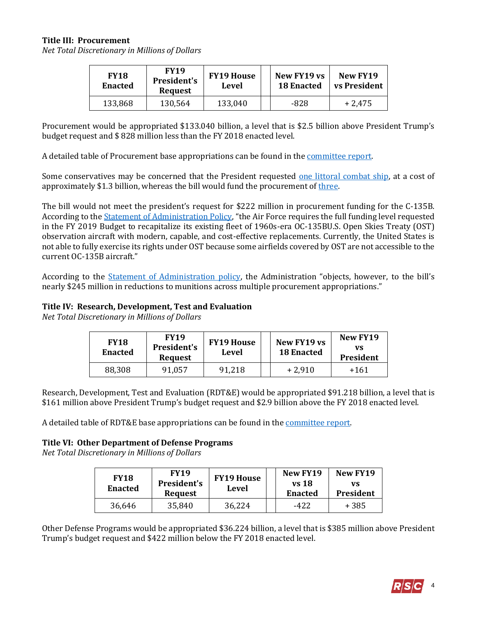#### **Title III: Procurement**

*Net Total Discretionary in Millions of Dollars*

| <b>FY18</b><br><b>Enacted</b> | <b>FY19</b><br>President's<br><b>Request</b> | <b>FY19 House</b><br>Level | New FY19 vs<br><b>18 Enacted</b> | New FY19<br>vs President |
|-------------------------------|----------------------------------------------|----------------------------|----------------------------------|--------------------------|
| 133,868                       | 130,564                                      | 133,040                    | -828                             | $+2.475$                 |

Procurement would be appropriated \$133.040 billion, a level that is \$2.5 billion above President Trump's budget request and \$ 828 million less than the FY 2018 enacted level.

A detailed table of Procurement base appropriations can be found in the [committee report.](https://www.gpo.gov/fdsys/pkg/CRPT-115hrpt769/pdf/CRPT-115hrpt769.pdf#page=112)

Some conservatives may be concerned that the President requested [one littoral combat ship,](https://comptroller.defense.gov/Portals/45/Documents/defbudget/fy2019/FY2019_Budget_Request.pdf#page=9) at a cost of approximately \$1.3 billion, whereas the bill would fund the procurement of [three.](https://www.gpo.gov/fdsys/pkg/CRPT-115hrpt769/pdf/CRPT-115hrpt769.pdf#page=15)

The bill would not meet the president's request for \$222 million in procurement funding for the C-135B. According to th[e Statement of Administration Policy](https://www.whitehouse.gov/omb/statements-of-administration-policy/), "the Air Force requires the full funding level requested in the FY 2019 Budget to recapitalize its existing fleet of 1960s-era OC-135BU.S. Open Skies Treaty (OST) observation aircraft with modern, capable, and cost-effective replacements. Currently, the United States is not able to fully exercise its rights under OST because some airfields covered by OST are not accessible to the current OC-135B aircraft."

According to the [Statement of Administration policy](https://www.whitehouse.gov/omb/statements-of-administration-policy/), the Administration "objects, however, to the bill's nearly \$245 million in reductions to munitions across multiple procurement appropriations."

#### **Title IV: Research, Development, Test and Evaluation**

*Net Total Discretionary in Millions of Dollars*

| <b>FY18</b><br><b>Enacted</b> | <b>FY19</b><br>President's<br><b>Request</b> | <b>FY19 House</b><br>Level | New FY19 vs<br><b>18 Enacted</b> | New FY19<br>vs<br><b>President</b> |
|-------------------------------|----------------------------------------------|----------------------------|----------------------------------|------------------------------------|
| 88,308                        | 91,057                                       | 91,218                     | $+2.910$                         | +161                               |

Research, Development, Test and Evaluation (RDT&E) would be appropriated \$91.218 billion, a level that is \$161 million above President Trump's budget request and \$2.9 billion above the FY 2018 enacted level.

A detailed table of RDT&E base appropriations can be found in the [committee report.](https://www.gpo.gov/fdsys/pkg/CRPT-115hrpt769/pdf/CRPT-115hrpt769.pdf#page=212)

#### **Title VI: Other Department of Defense Programs**

*Net Total Discretionary in Millions of Dollars*

| <b>FY18</b><br><b>Enacted</b> | <b>FY19</b><br>President's<br><b>Request</b> | <b>FY19 House</b><br>Level | New FY19<br>vs 18<br><b>Enacted</b> | New FY19<br>VS<br>President |
|-------------------------------|----------------------------------------------|----------------------------|-------------------------------------|-----------------------------|
| 36.646                        | 35,840                                       | 36,224                     | -422                                | + 385                       |

Other Defense Programs would be appropriated \$36.224 billion, a level that is \$385 million above President Trump's budget request and \$422 million below the FY 2018 enacted level.

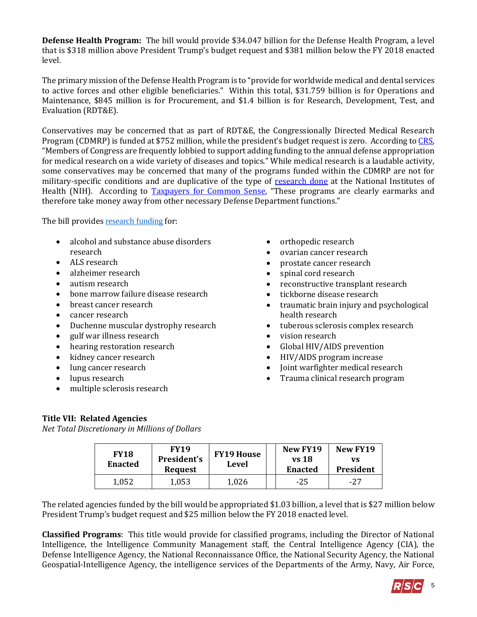**Defense Health Program:** The bill would provide \$34.047 billion for the Defense Health Program, a level that is \$318 million above President Trump's budget request and \$381 million below the FY 2018 enacted level.

The primary mission of the Defense Health Program is to "provide for worldwide medical and dental services to active forces and other eligible beneficiaries." Within this total, \$31.759 billion is for Operations and Maintenance, \$845 million is for Procurement, and \$1.4 billion is for Research, Development, Test, and Evaluation (RDT&E).

Conservatives may be concerned that as part of RDT&E, the Congressionally Directed Medical Research Program (CDMRP) is funded at \$752 million, while the president's budget request is zero. According t[o CRS,](http://www.crs.gov/Reports/IF10349?source=search&guid=0e87c51078bc4599ab29d3c961428341&index=0) "Members of Congress are frequently lobbied to support adding funding to the annual defense appropriation for medical research on a wide variety of diseases and topics." While medical research is a laudable activity, some conservatives may be concerned that many of the programs funded within the CDMRP are not for military-specific conditions and are duplicative of the type of [research done](https://report.nih.gov/categorical_spending.aspx) at the National Institutes of Health (NIH). According to [Taxpayers for Common Sense](http://public.cq.com/docs/weeklyreport/weeklyreport-000004132596.html), "These programs are clearly earmarks and therefore take money away from other necessary Defense Department functions."

The bill provides [research funding](https://www.gpo.gov/fdsys/pkg/CRPT-115hrpt769/pdf/CRPT-115hrpt769.pdf#page=301) for:

- alcohol and substance abuse disorders research
- ALS research
- alzheimer research
- autism research
- bone marrow failure disease research
- breast cancer research
- cancer research
- Duchenne muscular dystrophy research
- gulf war illness research
- hearing restoration research
- kidney cancer research
- lung cancer research
- lupus research
- multiple sclerosis research
- orthopedic research
- ovarian cancer research
- prostate cancer research
- spinal cord research
- reconstructive transplant research
- tickborne disease research
- traumatic brain injury and psychological health research
- tuberous sclerosis complex research
- vision research
- Global HIV/AIDS prevention
- HIV/AIDS program increase
- Joint warfighter medical research
- Trauma clinical research program

## **Title VII: Related Agencies**

*Net Total Discretionary in Millions of Dollars*

| <b>FY18</b><br><b>Enacted</b> | <b>FY19</b><br><b>President's</b><br><b>Request</b> | <b>FY19 House</b><br>Level | New FY19<br><b>vs</b> 18<br><b>Enacted</b> | New FY19<br>VS<br>President |
|-------------------------------|-----------------------------------------------------|----------------------------|--------------------------------------------|-----------------------------|
| 1,052                         | 1,053                                               | 1,026                      | $-25$                                      | $-27$                       |

The related agencies funded by the bill would be appropriated \$1.03 billion, a level that is \$27 million below President Trump's budget request and \$25 million below the FY 2018 enacted level.

**Classified Programs**: This title would provide for classified programs, including the Director of National Intelligence, the Intelligence Community Management staff, the Central Intelligence Agency (CIA), the Defense Intelligence Agency, the National Reconnaissance Office, the National Security Agency, the National Geospatial-Intelligence Agency, the intelligence services of the Departments of the Army, Navy, Air Force,

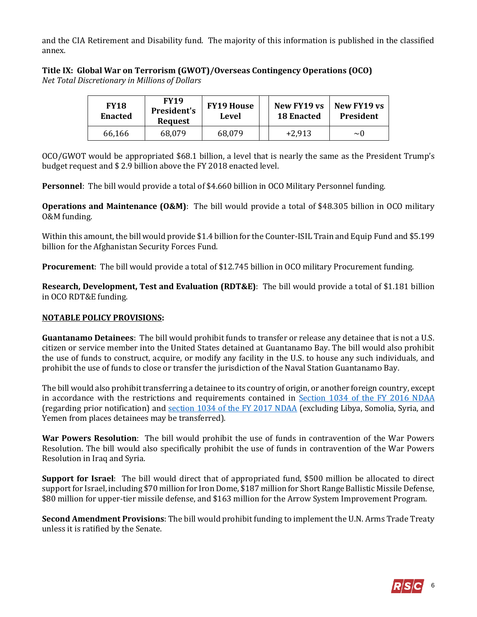and the CIA Retirement and Disability fund. The majority of this information is published in the classified annex.

### **Title IX: Global War on Terrorism (GWOT)/Overseas Contingency Operations (OCO)**

*Net Total Discretionary in Millions of Dollars*

| <b>FY18</b><br><b>Enacted</b> | <b>FY19</b><br>President's<br><b>Request</b> | <b>FY19 House</b><br>Level | New FY19 vs<br><b>18 Enacted</b> | New FY19 vs<br><b>President</b> |
|-------------------------------|----------------------------------------------|----------------------------|----------------------------------|---------------------------------|
| 66.166                        | 68,079                                       | 68,079                     | $+2.913$                         | $\sim$ ()                       |

OCO/GWOT would be appropriated \$68.1 billion, a level that is nearly the same as the President Trump's budget request and \$ 2.9 billion above the FY 2018 enacted level.

**Personnel**: The bill would provide a total of \$4.660 billion in OCO Military Personnel funding.

**Operations and Maintenance (O&M)**: The bill would provide a total of \$48.305 billion in OCO military O&M funding.

Within this amount, the bill would provide \$1.4 billion for the Counter-ISIL Train and Equip Fund and \$5.199 billion for the Afghanistan Security Forces Fund.

**Procurement**: The bill would provide a total of \$12.745 billion in OCO military Procurement funding.

**Research, Development, Test and Evaluation (RDT&E)**: The bill would provide a total of \$1.181 billion in OCO RDT&E funding.

#### **NOTABLE POLICY PROVISIONS:**

**Guantanamo Detainees**: The bill would prohibit funds to transfer or release any detainee that is not a U.S. citizen or service member into the United States detained at Guantanamo Bay. The bill would also prohibit the use of funds to construct, acquire, or modify any facility in the U.S. to house any such individuals, and prohibit the use of funds to close or transfer the jurisdiction of the Naval Station Guantanamo Bay.

The bill would also prohibit transferring a detainee to its country of origin, or another foreign country, except in accordance with the restrictions and requirements contained in [Section 1034 of the FY 2016 NDAA](https://www.congress.gov/114/plaws/publ92/PLAW-114publ92.pdf#page=245) (regarding prior notification) and [section 1034 of the FY 2017 NDAA](https://www.congress.gov/114/plaws/publ328/PLAW-114publ328.pdf#page=392) (excluding Libya, Somolia, Syria, and Yemen from places detainees may be transferred).

**War Powers Resolution**: The bill would prohibit the use of funds in contravention of the War Powers Resolution. The bill would also specifically prohibit the use of funds in contravention of the War Powers Resolution in Iraq and Syria.

**Support for Israel**: The bill would direct that of appropriated fund, \$500 million be allocated to direct support for Israel, including \$70 million for Iron Dome, \$187 million for Short Range Ballistic Missile Defense, \$80 million for upper-tier missile defense, and \$163 million for the Arrow System Improvement Program.

**Second Amendment Provisions**: The bill would prohibit funding to implement the U.N. Arms Trade Treaty unless it is ratified by the Senate.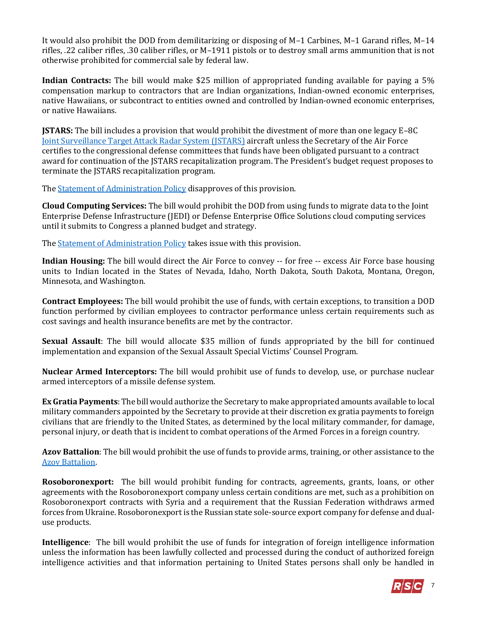It would also prohibit the DOD from demilitarizing or disposing of M–1 Carbines, M–1 Garand rifles, M–14 rifles, .22 caliber rifles, .30 caliber rifles, or M–1911 pistols or to destroy small arms ammunition that is not otherwise prohibited for commercial sale by federal law.

**Indian Contracts:** The bill would make \$25 million of appropriated funding available for paying a 5% compensation markup to contractors that are Indian organizations, Indian-owned economic enterprises, native Hawaiians, or subcontract to entities owned and controlled by Indian-owned economic enterprises, or native Hawaiians.

**JSTARS:** The bill includes a provision that would prohibit the divestment of more than one legacy E–8C [Joint Surveillance Target Attack Radar System \(JSTARS\)](http://www.af.mil/About-Us/Fact-Sheets/Display/Article/104507/e-8c-joint-stars/) aircraft unless the Secretary of the Air Force certifies to the congressional defense committees that funds have been obligated pursuant to a contract award for continuation of the JSTARS recapitalization program. The President's budget request proposes to terminate the JSTARS recapitalization program.

Th[e Statement of Administration Policy](https://www.whitehouse.gov/omb/statements-of-administration-policy/) disapproves of this provision.

**Cloud Computing Services:** The bill would prohibit the DOD from using funds to migrate data to the Joint Enterprise Defense Infrastructure (JEDI) or Defense Enterprise Office Solutions cloud computing services until it submits to Congress a planned budget and strategy.

The **Statement of Administration Policy** takes issue with this provision.

**Indian Housing:** The bill would direct the Air Force to convey -- for free -- excess Air Force base housing units to Indian located in the States of Nevada, Idaho, North Dakota, South Dakota, Montana, Oregon, Minnesota, and Washington.

**Contract Employees:** The bill would prohibit the use of funds, with certain exceptions, to transition a DOD function performed by civilian employees to contractor performance unless certain requirements such as cost savings and health insurance benefits are met by the contractor.

**Sexual Assault**: The bill would allocate \$35 million of funds appropriated by the bill for continued implementation and expansion of the Sexual Assault Special Victims' Counsel Program.

**Nuclear Armed Interceptors:** The bill would prohibit use of funds to develop, use, or purchase nuclear armed interceptors of a missile defense system.

**Ex Gratia Payments**: The bill would authorize the Secretary to make appropriated amounts available to local military commanders appointed by the Secretary to provide at their discretion ex gratia payments to foreign civilians that are friendly to the United States, as determined by the local military commander, for damage, personal injury, or death that is incident to combat operations of the Armed Forces in a foreign country.

**Azov Battalion**: The bill would prohibit the use of funds to provide arms, training, or other assistance to the [Azov Battalion.](http://thehill.com/policy/defense/380483-congress-bans-arms-to-controversial-ukrainian-militia-linked-to-neo-nazis)

**Rosoboronexport:** The bill would prohibit funding for contracts, agreements, grants, loans, or other agreements with the Rosoboronexport company unless certain conditions are met, such as a prohibition on Rosoboronexport contracts with Syria and a requirement that the Russian Federation withdraws armed forces from Ukraine. Rosoboronexport is the Russian state sole-source export company for defense and dualuse products.

**Intelligence**: The bill would prohibit the use of funds for integration of foreign intelligence information unless the information has been lawfully collected and processed during the conduct of authorized foreign intelligence activities and that information pertaining to United States persons shall only be handled in

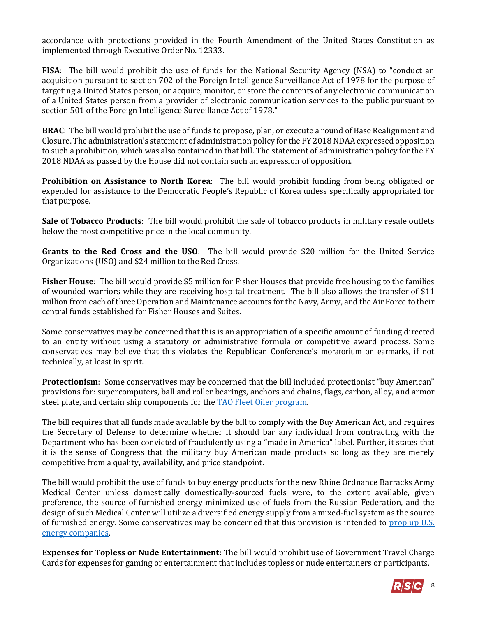accordance with protections provided in the Fourth Amendment of the United States Constitution as implemented through Executive Order No. 12333.

**FISA**: The bill would prohibit the use of funds for the National Security Agency (NSA) to "conduct an acquisition pursuant to section 702 of the Foreign Intelligence Surveillance Act of 1978 for the purpose of targeting a United States person; or acquire, monitor, or store the contents of any electronic communication of a United States person from a provider of electronic communication services to the public pursuant to section 501 of the Foreign Intelligence Surveillance Act of 1978."

**BRAC**: The bill would prohibit the use of funds to propose, plan, or execute a round of Base Realignment and Closure. The administration's statement of administration policy for the FY 2018 NDAA expressed opposition to such a prohibition, which was also contained in that bill. The statement of administration policy for the FY 2018 NDAA as passed by the House did not contain such an expression of opposition.

**Prohibition on Assistance to North Korea**: The bill would prohibit funding from being obligated or expended for assistance to the Democratic People's Republic of Korea unless specifically appropriated for that purpose.

**Sale of Tobacco Products**: The bill would prohibit the sale of tobacco products in military resale outlets below the most competitive price in the local community.

**Grants to the Red Cross and the USO**: The bill would provide \$20 million for the United Service Organizations (USO) and \$24 million to the Red Cross.

**Fisher House**: The bill would provide \$5 million for Fisher Houses that provide free housing to the families of wounded warriors while they are receiving hospital treatment. The bill also allows the transfer of \$11 million from each of three Operation and Maintenance accounts for the Navy, Army, and the Air Force to their central funds established for Fisher Houses and Suites.

Some conservatives may be concerned that this is an appropriation of a specific amount of funding directed to an entity without using a statutory or administrative formula or competitive award process. Some conservatives may believe that this violates the Republican Conference's moratorium on earmarks, if not technically, at least in spirit.

**Protectionism**: Some conservatives may be concerned that the bill included protectionist "buy American" provisions for: supercomputers, ball and roller bearings, anchors and chains, flags, carbon, alloy, and armor steel plate, and certain ship components for the **TAO Fleet Oiler program**.

The bill requires that all funds made available by the bill to comply with the Buy American Act, and requires the Secretary of Defense to determine whether it should bar any individual from contracting with the Department who has been convicted of fraudulently using a "made in America" label. Further, it states that it is the sense of Congress that the military buy American made products so long as they are merely competitive from a quality, availability, and price standpoint.

The bill would prohibit the use of funds to buy energy products for the new Rhine Ordnance Barracks Army Medical Center unless domestically domestically-sourced fuels were, to the extent available, given preference, the source of furnished energy minimized use of fuels from the Russian Federation, and the design of such Medical Center will utilize a diversified energy supply from a mixed-fuel system as the source of furnished energy. Some conservatives may be concerned that this provision is intended to [prop up U.S.](https://www.rollcall.com/news/policy/defense-bills-protect-energy-base-germany)  [energy companies.](https://www.rollcall.com/news/policy/defense-bills-protect-energy-base-germany) 

**Expenses for Topless or Nude Entertainment:** The bill would prohibit use of Government Travel Charge Cards for expenses for gaming or entertainment that includes topless or nude entertainers or participants.